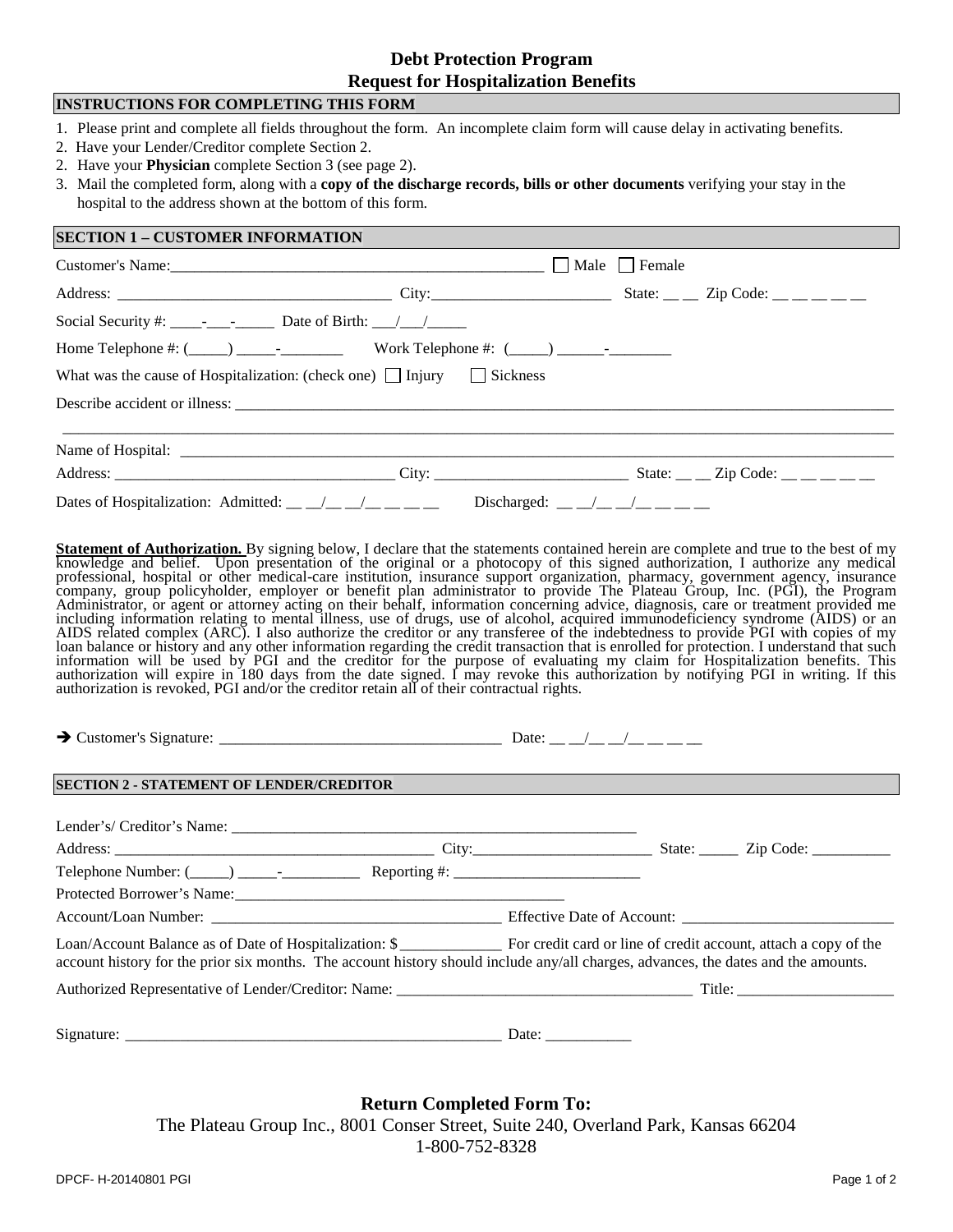## **Debt Protection Program Request for Hospitalization Benefits**

| <b>INSTRUCTIONS FOR COMPLETING THIS FORM</b>                                                                                                                                                                                                                                                                                                                                                                                                                                                                                                                                                                                                                                                                                                                                                                                                                                                                                                                                                                                                                                                                                                                                                                                                 |  |  |  |  |  |  |
|----------------------------------------------------------------------------------------------------------------------------------------------------------------------------------------------------------------------------------------------------------------------------------------------------------------------------------------------------------------------------------------------------------------------------------------------------------------------------------------------------------------------------------------------------------------------------------------------------------------------------------------------------------------------------------------------------------------------------------------------------------------------------------------------------------------------------------------------------------------------------------------------------------------------------------------------------------------------------------------------------------------------------------------------------------------------------------------------------------------------------------------------------------------------------------------------------------------------------------------------|--|--|--|--|--|--|
| 1. Please print and complete all fields throughout the form. An incomplete claim form will cause delay in activating benefits.<br>2. Have your Lender/Creditor complete Section 2.<br>2. Have your <b>Physician</b> complete Section 3 (see page 2).<br>3. Mail the completed form, along with a copy of the discharge records, bills or other documents verifying your stay in the<br>hospital to the address shown at the bottom of this form.                                                                                                                                                                                                                                                                                                                                                                                                                                                                                                                                                                                                                                                                                                                                                                                             |  |  |  |  |  |  |
| <b>SECTION 1 - CUSTOMER INFORMATION</b>                                                                                                                                                                                                                                                                                                                                                                                                                                                                                                                                                                                                                                                                                                                                                                                                                                                                                                                                                                                                                                                                                                                                                                                                      |  |  |  |  |  |  |
|                                                                                                                                                                                                                                                                                                                                                                                                                                                                                                                                                                                                                                                                                                                                                                                                                                                                                                                                                                                                                                                                                                                                                                                                                                              |  |  |  |  |  |  |
|                                                                                                                                                                                                                                                                                                                                                                                                                                                                                                                                                                                                                                                                                                                                                                                                                                                                                                                                                                                                                                                                                                                                                                                                                                              |  |  |  |  |  |  |
|                                                                                                                                                                                                                                                                                                                                                                                                                                                                                                                                                                                                                                                                                                                                                                                                                                                                                                                                                                                                                                                                                                                                                                                                                                              |  |  |  |  |  |  |
| Home Telephone #: $(\_\_\_\_\_\_\_$ Work Telephone #: $(\_\_\_\_\_\_\_$                                                                                                                                                                                                                                                                                                                                                                                                                                                                                                                                                                                                                                                                                                                                                                                                                                                                                                                                                                                                                                                                                                                                                                      |  |  |  |  |  |  |
| What was the cause of Hospitalization: (check one) $\Box$ Injury $\Box$ Sickness                                                                                                                                                                                                                                                                                                                                                                                                                                                                                                                                                                                                                                                                                                                                                                                                                                                                                                                                                                                                                                                                                                                                                             |  |  |  |  |  |  |
|                                                                                                                                                                                                                                                                                                                                                                                                                                                                                                                                                                                                                                                                                                                                                                                                                                                                                                                                                                                                                                                                                                                                                                                                                                              |  |  |  |  |  |  |
|                                                                                                                                                                                                                                                                                                                                                                                                                                                                                                                                                                                                                                                                                                                                                                                                                                                                                                                                                                                                                                                                                                                                                                                                                                              |  |  |  |  |  |  |
|                                                                                                                                                                                                                                                                                                                                                                                                                                                                                                                                                                                                                                                                                                                                                                                                                                                                                                                                                                                                                                                                                                                                                                                                                                              |  |  |  |  |  |  |
|                                                                                                                                                                                                                                                                                                                                                                                                                                                                                                                                                                                                                                                                                                                                                                                                                                                                                                                                                                                                                                                                                                                                                                                                                                              |  |  |  |  |  |  |
| Dates of Hospitalization: Admitted: __ _/_ _/_ __/_ __ __ Discharged: _ _/_ _/_ _/_ _ _                                                                                                                                                                                                                                                                                                                                                                                                                                                                                                                                                                                                                                                                                                                                                                                                                                                                                                                                                                                                                                                                                                                                                      |  |  |  |  |  |  |
| knowledge and belief. Upon presentation of the original or a photocopy of this signed authorization, I authorize any medical professional, hospital or other medical-care institution, insurance support organization, pharmac<br>company, group policyholder, employer or benefit plan administrator to provide The Plateau Group, Inc. (PGI), the Program<br>Administrator, or agent or attorney acting on their behalf, information concerning advice, diagnosis, care or treatment provided me<br>including information relating to mental illness, use of drugs, use of alcohol, acquired immunodeficiency syndrome (AIDS) or an<br>AIDS related complex (ARC). I also authorize the creditor or any transferee of the indebtedness to provide PGI with copies of my<br>loan balance or history and any other information regarding the credit transaction that is enrolled for protection. I understand that such information will be used by PGI and the creditor for the purpose of evaluating my c<br>authorization will expire in 180 days from the date signed. I may revoke this authorization by notifying PGI in writing. If this<br>authorization is revoked, PGI and/or the creditor retain all of their contractual rights. |  |  |  |  |  |  |
|                                                                                                                                                                                                                                                                                                                                                                                                                                                                                                                                                                                                                                                                                                                                                                                                                                                                                                                                                                                                                                                                                                                                                                                                                                              |  |  |  |  |  |  |
| <b>SECTION 2 - STATEMENT OF LENDER/CREDITOR</b>                                                                                                                                                                                                                                                                                                                                                                                                                                                                                                                                                                                                                                                                                                                                                                                                                                                                                                                                                                                                                                                                                                                                                                                              |  |  |  |  |  |  |
|                                                                                                                                                                                                                                                                                                                                                                                                                                                                                                                                                                                                                                                                                                                                                                                                                                                                                                                                                                                                                                                                                                                                                                                                                                              |  |  |  |  |  |  |
|                                                                                                                                                                                                                                                                                                                                                                                                                                                                                                                                                                                                                                                                                                                                                                                                                                                                                                                                                                                                                                                                                                                                                                                                                                              |  |  |  |  |  |  |
|                                                                                                                                                                                                                                                                                                                                                                                                                                                                                                                                                                                                                                                                                                                                                                                                                                                                                                                                                                                                                                                                                                                                                                                                                                              |  |  |  |  |  |  |
|                                                                                                                                                                                                                                                                                                                                                                                                                                                                                                                                                                                                                                                                                                                                                                                                                                                                                                                                                                                                                                                                                                                                                                                                                                              |  |  |  |  |  |  |
|                                                                                                                                                                                                                                                                                                                                                                                                                                                                                                                                                                                                                                                                                                                                                                                                                                                                                                                                                                                                                                                                                                                                                                                                                                              |  |  |  |  |  |  |
| account history for the prior six months. The account history should include any/all charges, advances, the dates and the amounts.                                                                                                                                                                                                                                                                                                                                                                                                                                                                                                                                                                                                                                                                                                                                                                                                                                                                                                                                                                                                                                                                                                           |  |  |  |  |  |  |
|                                                                                                                                                                                                                                                                                                                                                                                                                                                                                                                                                                                                                                                                                                                                                                                                                                                                                                                                                                                                                                                                                                                                                                                                                                              |  |  |  |  |  |  |
|                                                                                                                                                                                                                                                                                                                                                                                                                                                                                                                                                                                                                                                                                                                                                                                                                                                                                                                                                                                                                                                                                                                                                                                                                                              |  |  |  |  |  |  |
| <b>Return Completed Form To:</b>                                                                                                                                                                                                                                                                                                                                                                                                                                                                                                                                                                                                                                                                                                                                                                                                                                                                                                                                                                                                                                                                                                                                                                                                             |  |  |  |  |  |  |

The Plateau Group Inc., 8001 Conser Street, Suite 240, Overland Park, Kansas 66204 1-800-752-8328